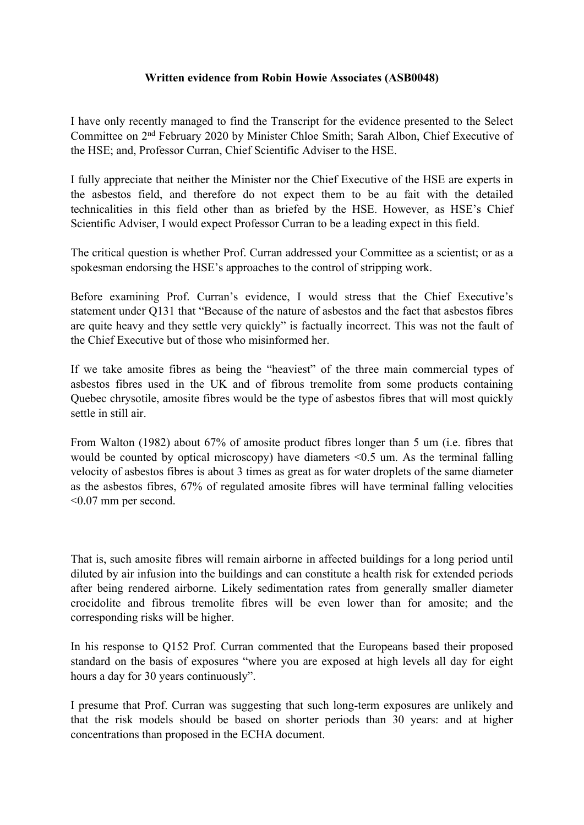## **Written evidence from Robin Howie Associates (ASB0048)**

I have only recently managed to find the Transcript for the evidence presented to the Select Committee on 2 nd February 2020 by Minister Chloe Smith; Sarah Albon, Chief Executive of the HSE; and, Professor Curran, Chief Scientific Adviser to the HSE.

I fully appreciate that neither the Minister nor the Chief Executive of the HSE are experts in the asbestos field, and therefore do not expect them to be au fait with the detailed technicalities in this field other than as briefed by the HSE. However, as HSE's Chief Scientific Adviser, I would expect Professor Curran to be a leading expect in this field.

The critical question is whether Prof. Curran addressed your Committee as a scientist; or as a spokesman endorsing the HSE's approaches to the control of stripping work.

Before examining Prof. Curran's evidence, I would stress that the Chief Executive's statement under Q131 that "Because of the nature of asbestos and the fact that asbestos fibres are quite heavy and they settle very quickly" is factually incorrect. This was not the fault of the Chief Executive but of those who misinformed her.

If we take amosite fibres as being the "heaviest" of the three main commercial types of asbestos fibres used in the UK and of fibrous tremolite from some products containing Quebec chrysotile, amosite fibres would be the type of asbestos fibres that will most quickly settle in still air.

From Walton (1982) about 67% of amosite product fibres longer than 5 um (i.e. fibres that would be counted by optical microscopy) have diameters <0.5 um. As the terminal falling velocity of asbestos fibres is about 3 times as great as for water droplets of the same diameter as the asbestos fibres, 67% of regulated amosite fibres will have terminal falling velocities <0.07 mm per second.

That is, such amosite fibres will remain airborne in affected buildings for a long period until diluted by air infusion into the buildings and can constitute a health risk for extended periods after being rendered airborne. Likely sedimentation rates from generally smaller diameter crocidolite and fibrous tremolite fibres will be even lower than for amosite; and the corresponding risks will be higher.

In his response to Q152 Prof. Curran commented that the Europeans based their proposed standard on the basis of exposures "where you are exposed at high levels all day for eight hours a day for 30 years continuously".

I presume that Prof. Curran was suggesting that such long-term exposures are unlikely and that the risk models should be based on shorter periods than 30 years: and at higher concentrations than proposed in the ECHA document.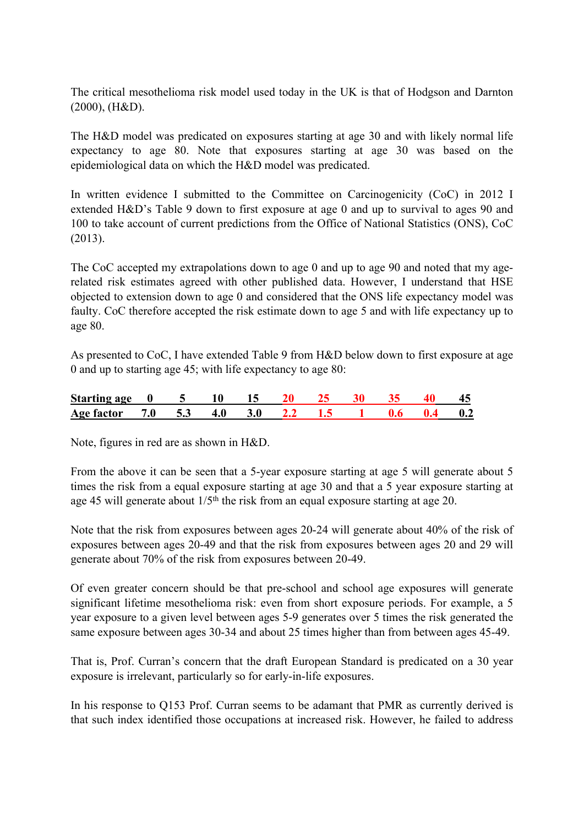The critical mesothelioma risk model used today in the UK is that of Hodgson and Darnton (2000), (H&D).

The H&D model was predicated on exposures starting at age 30 and with likely normal life expectancy to age 80. Note that exposures starting at age 30 was based on the epidemiological data on which the H&D model was predicated.

In written evidence I submitted to the Committee on Carcinogenicity (CoC) in 2012 I extended H&D's Table 9 down to first exposure at age 0 and up to survival to ages 90 and 100 to take account of current predictions from the Office of National Statistics (ONS), CoC (2013).

The CoC accepted my extrapolations down to age 0 and up to age 90 and noted that my agerelated risk estimates agreed with other published data. However, I understand that HSE objected to extension down to age 0 and considered that the ONS life expectancy model was faulty. CoC therefore accepted the risk estimate down to age 5 and with life expectancy up to age 80.

As presented to CoC, I have extended Table 9 from H&D below down to first exposure at age 0 and up to starting age 45; with life expectancy to age 80:

| Starting age 0     |  |  |      |                          |  |     |
|--------------------|--|--|------|--------------------------|--|-----|
| Age factor 7.0 5.3 |  |  | - 77 | $\overline{\phantom{a}}$ |  | 0.2 |

Note, figures in red are as shown in H&D.

From the above it can be seen that a 5-year exposure starting at age 5 will generate about 5 times the risk from a equal exposure starting at age 30 and that a 5 year exposure starting at age 45 will generate about  $1/5<sup>th</sup>$  the risk from an equal exposure starting at age 20.

Note that the risk from exposures between ages 20-24 will generate about 40% of the risk of exposures between ages 20-49 and that the risk from exposures between ages 20 and 29 will generate about 70% of the risk from exposures between 20-49.

Of even greater concern should be that pre-school and school age exposures will generate significant lifetime mesothelioma risk: even from short exposure periods. For example, a 5 year exposure to a given level between ages 5-9 generates over 5 times the risk generated the same exposure between ages 30-34 and about 25 times higher than from between ages 45-49.

That is, Prof. Curran's concern that the draft European Standard is predicated on a 30 year exposure is irrelevant, particularly so for early-in-life exposures.

In his response to Q153 Prof. Curran seems to be adamant that PMR as currently derived is that such index identified those occupations at increased risk. However, he failed to address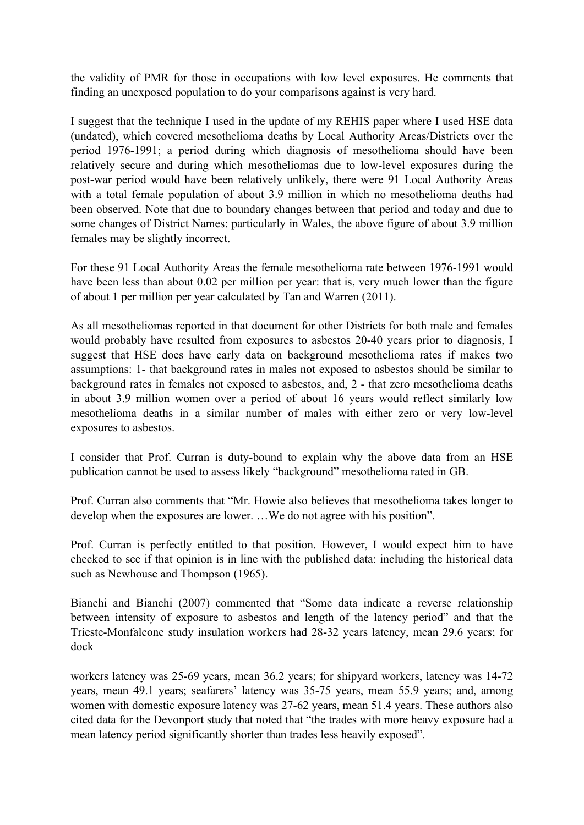the validity of PMR for those in occupations with low level exposures. He comments that finding an unexposed population to do your comparisons against is very hard.

I suggest that the technique I used in the update of my REHIS paper where I used HSE data (undated), which covered mesothelioma deaths by Local Authority Areas/Districts over the period 1976-1991; a period during which diagnosis of mesothelioma should have been relatively secure and during which mesotheliomas due to low-level exposures during the post-war period would have been relatively unlikely, there were 91 Local Authority Areas with a total female population of about 3.9 million in which no mesothelioma deaths had been observed. Note that due to boundary changes between that period and today and due to some changes of District Names: particularly in Wales, the above figure of about 3.9 million females may be slightly incorrect.

For these 91 Local Authority Areas the female mesothelioma rate between 1976-1991 would have been less than about 0.02 per million per year: that is, very much lower than the figure of about 1 per million per year calculated by Tan and Warren (2011).

As all mesotheliomas reported in that document for other Districts for both male and females would probably have resulted from exposures to asbestos 20-40 years prior to diagnosis, I suggest that HSE does have early data on background mesothelioma rates if makes two assumptions: 1- that background rates in males not exposed to asbestos should be similar to background rates in females not exposed to asbestos, and, 2 - that zero mesothelioma deaths in about 3.9 million women over a period of about 16 years would reflect similarly low mesothelioma deaths in a similar number of males with either zero or very low-level exposures to asbestos.

I consider that Prof. Curran is duty-bound to explain why the above data from an HSE publication cannot be used to assess likely "background" mesothelioma rated in GB.

Prof. Curran also comments that "Mr. Howie also believes that mesothelioma takes longer to develop when the exposures are lower. …We do not agree with his position".

Prof. Curran is perfectly entitled to that position. However, I would expect him to have checked to see if that opinion is in line with the published data: including the historical data such as Newhouse and Thompson (1965).

Bianchi and Bianchi (2007) commented that "Some data indicate a reverse relationship between intensity of exposure to asbestos and length of the latency period" and that the Trieste-Monfalcone study insulation workers had 28-32 years latency, mean 29.6 years; for dock

workers latency was 25-69 years, mean 36.2 years; for shipyard workers, latency was 14-72 years, mean 49.1 years; seafarers' latency was 35-75 years, mean 55.9 years; and, among women with domestic exposure latency was 27-62 years, mean 51.4 years. These authors also cited data for the Devonport study that noted that "the trades with more heavy exposure had a mean latency period significantly shorter than trades less heavily exposed".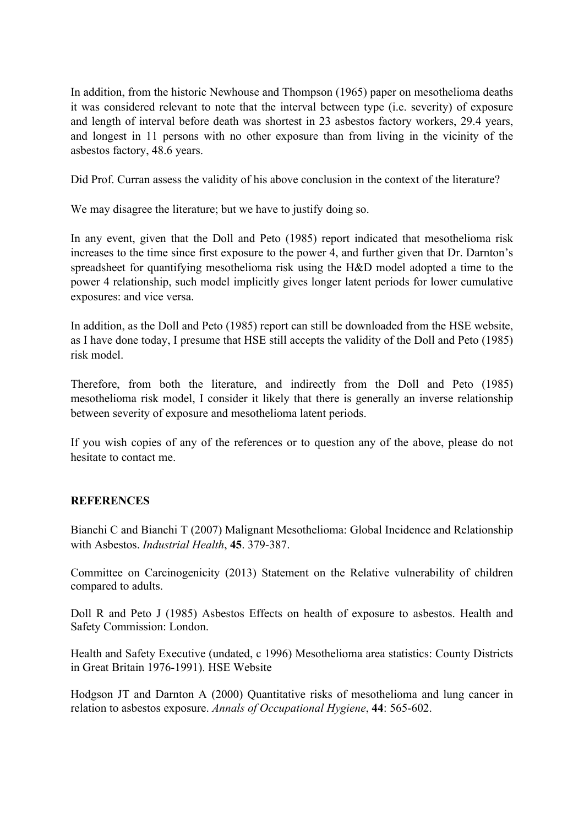In addition, from the historic Newhouse and Thompson (1965) paper on mesothelioma deaths it was considered relevant to note that the interval between type (i.e. severity) of exposure and length of interval before death was shortest in 23 asbestos factory workers, 29.4 years, and longest in 11 persons with no other exposure than from living in the vicinity of the asbestos factory, 48.6 years.

Did Prof. Curran assess the validity of his above conclusion in the context of the literature?

We may disagree the literature; but we have to justify doing so.

In any event, given that the Doll and Peto (1985) report indicated that mesothelioma risk increases to the time since first exposure to the power 4, and further given that Dr. Darnton's spreadsheet for quantifying mesothelioma risk using the H&D model adopted a time to the power 4 relationship, such model implicitly gives longer latent periods for lower cumulative exposures: and vice versa.

In addition, as the Doll and Peto (1985) report can still be downloaded from the HSE website, as I have done today, I presume that HSE still accepts the validity of the Doll and Peto (1985) risk model.

Therefore, from both the literature, and indirectly from the Doll and Peto (1985) mesothelioma risk model, I consider it likely that there is generally an inverse relationship between severity of exposure and mesothelioma latent periods.

If you wish copies of any of the references or to question any of the above, please do not hesitate to contact me.

## **REFERENCES**

Bianchi C and Bianchi T (2007) Malignant Mesothelioma: Global Incidence and Relationship with Asbestos. *Industrial Health*, **45**. 379-387.

Committee on Carcinogenicity (2013) Statement on the Relative vulnerability of children compared to adults.

Doll R and Peto J (1985) Asbestos Effects on health of exposure to asbestos. Health and Safety Commission: London.

Health and Safety Executive (undated, c 1996) Mesothelioma area statistics: County Districts in Great Britain 1976-1991). HSE Website

Hodgson JT and Darnton A (2000) Quantitative risks of mesothelioma and lung cancer in relation to asbestos exposure. *Annals of Occupational Hygiene*, **44**: 565-602.